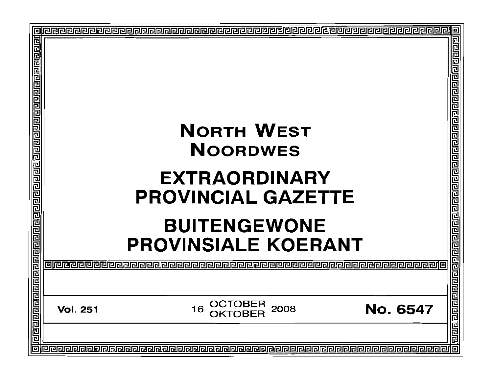| Þ |                            | <b>NORTH WEST</b><br><b>NOORDWES</b><br><b>EXTRAORDINARY</b><br><b>PROVINCIAL GAZETTE</b><br><b>BUITENGEWONE</b><br><b>PROVINSIALE KOERANT</b> | 回               |
|---|----------------------------|------------------------------------------------------------------------------------------------------------------------------------------------|-----------------|
|   | olieleieleid<br>2222222222 |                                                                                                                                                |                 |
|   | <b>Vol. 251</b>            | OCTOBER<br>2008<br>16                                                                                                                          | <b>No. 6547</b> |
| 同 |                            |                                                                                                                                                | 回               |
|   |                            |                                                                                                                                                |                 |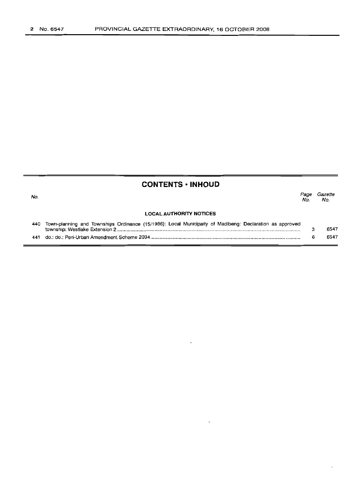## **CONTENTS -INHOUD**

| No.                            |                                                                                                         | Page<br>No. | <i>Gazette</i><br>No. |  |  |
|--------------------------------|---------------------------------------------------------------------------------------------------------|-------------|-----------------------|--|--|
| <b>LOCAL AUTHORITY NOTICES</b> |                                                                                                         |             |                       |  |  |
| 440                            | Town-planning and Townships Ordinance (15/1986): Local Municipaity of Madibeng: Declaration as approved | ാ           | 6547                  |  |  |
| 441                            |                                                                                                         | 6           | 6547                  |  |  |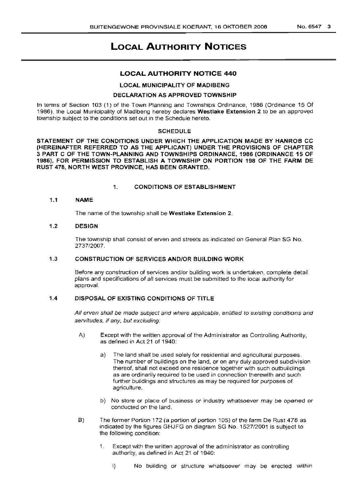# **LOCAL AUTHORITY NOTICES**

## **LOCAL AUTHORITY NOTICE 440**

## LOCAL MUNICIPALITY OF MADIBENG

## DECLARATION AS APPROVED TOWNSHIP

In terms of Section 103 (1) of the Town Planning and Townships Ordinance, 1986 (Ordinance 15 Of 1986), the Local Municipality of Madibeng hereby declares Westlake Extension 2 to be an approved township subject to the conditions set out in the Schedule hereto.

#### SCHEDULE

STATEMENT OF THE CONDITIONS UNDER WHICH THE APPLICATION MADE BY HANROB CC (HEREINAFTER REFERRED TO AS THE APPLICANT) UNDER THE PROVISIONS OF CHAPTER 3 PART C OF THE TOWN-PLANNING AND TOWNSHIPS ORDINANCE, 1986 (ORDINANCE 15 OF 1986), FOR PERMISSION TO ESTABLISH A TOWNSHIP ON PORTION 198 OF THE FARM DE RUST 478, NORTH WEST PROVINCE, HAS BEEN GRANTED.

## 1. CONDITIONS OF ESTABLISHMENT

## 1.1 NAME

The name of the township shall be Westlake Extension 2.

## 1.2 DESIGN

The township shall consist of erven and streets as indicated on General Plan SG No. 2737/2007.

## 1.3 CONSTRUCTION OF SERVICES AND/OR BUILDING WORK

Before any construction of services and/or building work is undertaken, complete detail plans and specifications of all services must be submitted to the local authority for approval.

## 1.4 DISPOSAL OF EXISTING CONDITIONS OF TITLE

All erven shall be made subject and where applicable, entitled to existing conditions and servitudes, if any, but excluding:

- A) Except with the written approval of the Administrator as Controlling Authority, as defined in Act 21 of 1940:
	- a) The land shall be used solely for residential and agricultural purposes. The number of buildings on the land, or on any duly approved subdivision thereof, shall not exceed one residence together with such outbuildings as are ordinarily required to be used in connection therewith and such further buildings and structures as may be required for purposes of agriculture.
	- b) No store or place of business or industry whatsoever may be opened or conducted on the land.
- B) The former Portion 172 (a portion of portion 105) of the farm De Rust 478 as indicated by the figures GHJFG on diagram SG No. 1527/2001 is subject to the following condition:
	- 1. Except with the written approval of the administrator as controlling authority, as defined in Act 21 of 1940:
		- i) No building or structure whatsoever may be erected within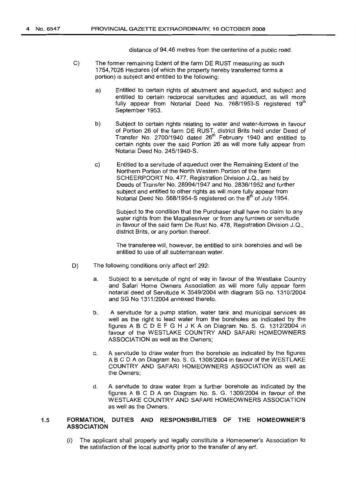distance of 94.46 metres from the centerline of a public road.

- C) The former remaining Extent of the farm DE RUST measuring as such 1754,7026 Hectares (of which the property hereby transferred forms a portion) is subject and entitled to the following:
	- a) Entitled to certain rights of abutment and aqueduct, and subject and entitled to certain reciprocal servitudes and aqueduct, as will more fully appear from Notarial Deed No. 768/1953-S registered 19<sup>th</sup> September 1953.
	- b) Subject to certain rights relating to water and water-furrows in favour of Portion 26 of the farm DE RUST, district Brits held under Deed of Transfer No. 2700/1940 dated 26<sup>th</sup> February 1940 and entitled to certain rights over the said Portion 26 as will more fully appear from Notarial Deed No. 245/1940-S.
	- c) Entitled to a servitude of aqueduct over the Remaining Extent of the Northern Portion of the North Western Portion of the farm SCHEERPOORT No. 477, Registration Division J.Q., as held by Deeds of Transfer No. 28994/1947 and No. 2836/1952 and further subject and entitled to other rights as will more fully appear from Notarial Deed No. 568/1954-S registered on the  $8<sup>th</sup>$  of July 1954.

Subject to the condition that the Purchaser shall have no claim to any water rights from the Magaliesriver or from any furrows or servitude in favour of the said farm De Rust No. 478, Registration Division J.Q., district Brits, or any portion thereof.

The transferee will, however, be entitled to sink boreholes and will be entitled to use of all subterranean water.

- D) The following conditions only affect erf 292:
	- a. Subject to a servitude of right of way in favour of the Westlake Country and Safari Home Owners Association as will more fully appear form notarial deed of Servitude K 3549/2004 with diagram SG no. 1310/2004 and SG No 1311/2004 annexed thereto.
	- b. A servitude for a pump station, water tank and municipal services as well as the right to lead water from the boreholes as indicated by the figures ABC D E F G H J K A on Diagram No. S. G. 1312/2004 in favour of the WESTLAKE COUNTRY AND SAFARI HOMEOWNERS ASSOCIATION as well as the Owners;
	- c. A servitude to draw water from the borehole as indicated by the figures ABC D A on Diagram No. S. G. 1308/2004 in favour of the WESTLAKE COUNTRY AND SAFARI HOMEOWNERS ASSOCIATION as well as the Owners;
	- d. A servitude to draw water from a further borehole as indicated by the figures ABC D A on Diagram No. S. G. 1309/2004 in favour of the WESTLAKE COUNTRY AND SAFARI HOMEOWNERS ASSOCIATION as well as the Owners.

## 1.5 **FORMATION, DUTIES AND RESPONSIBILITIES OF THE HOMEOWNER'S ASSOCIATION**

(i) The applicant shall properly and legally constitute a Homeowner's Association to the satisfaction of the local authority prior to the transfer of any erf.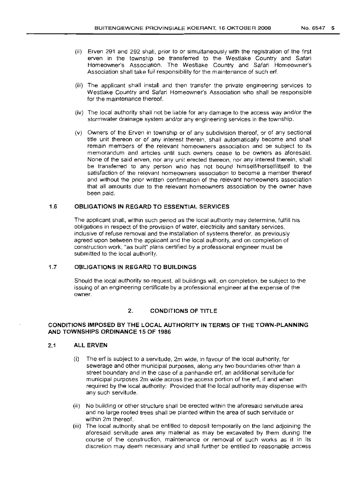- (ii) Erven 291 and 292 shall, prior to or simultaneously with the registration of the first erven in the township be transferred to the Westlake Country and Safari Homeowner's Association. The Westlake Country and Safari Homeowner's Association shall take full responsibility for the maintenance of such erf.
- (iii) The applicant shall install and then transfer the private engineering services to Westlake Country and Safari Homeowner's Association who shall be responsible for the maintenance thereof.
- (iv) The local authority shall not be liable for any damage to the access way and/or the storm water drainage system and/or any engineering services in the township.
- (v) Owners of the Erven in township or of any subdivision thereof, or of any sectional title unit thereon or of any interest therein, shall automatically become and shall remain members of the relevant homeowners association and be subject to its memorandum and articles until such owners cease to be owners as aforesaid. None of the said erven, nor any unit erected thereon, nor any interest therein, shall be transferred to any person who has not bound himself/herself/itself to the satisfaction of the relevant homeowners association to become a member thereof and without the prior written confirmation of the relevant homeowners association that all amounts due to the relevant homeowners association by the owner have been paid.

## 1.6 **OBLIGATIONS IN REGARD TO ESSENTIAL SERVICES**

The applicant shall, within such period as the local authority may determine, fulfill his obligations in respect of the provision of water, electricity and sanitary services, inclusive of refuse removal and the installation of systems therefor, as previously agreed upon between the applicant and the local authority, and on completion of construction work, "as built" plans certified by a professional engineer must be submitted to the local authority.

#### 1.7 **OBLIGATIONS IN REGARD TO BUILDINGS**

Should the local authority so request, all buildings will, on completion, be subject to the issuing of an engineering certificate by a professional engineer at the expense of the owner.

## 2. **CONDITIONS OF TITLE**

## **CONDITIONS IMPOSED BY THE LOCAL AUTHORITY IN TERMS OF THE TOWN-PLANNING AND TOWNSHIPS OR.DINANCE 15 OF 1986**

#### 2.1 **ALL ERVEN**

- (i) The erf is subject to a servitude, 2m wide, in favour of the local authority, for sewerage and other municipal purposes, along any two boundaries other than a street boundary and in the case of a panhandle erf, an additional servitude for municipal purposes 2m wide across the access portion of the erf, if and when required by the local authority: Provided that the local authority may dispense with any such servitude.
- (ii) No building or other structure shall be erected within the aforesaid servitude area and no large rooted trees shall be planted within the area of such servitude or within 2m thereof.
- (iii) The local authority shall be entitled to deposit temporarily on the land adjoining the aforesaid servitude area any material as may be excavated by them during the course of the construction, maintenance or removal of such works as it in its discretion may deem necessary and shall further be entitled to reasonable access